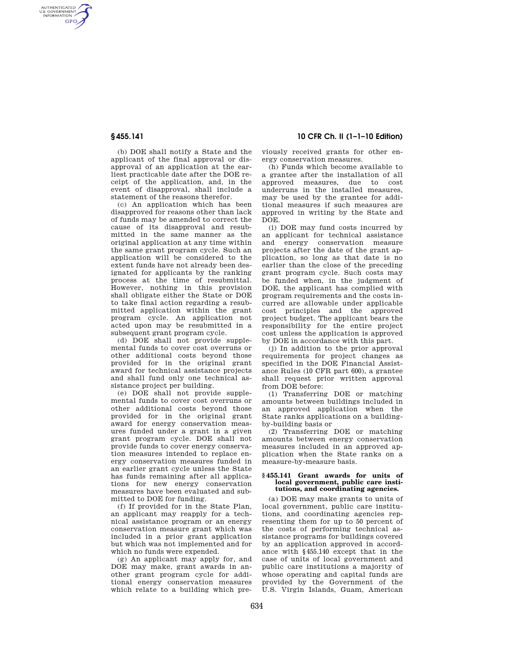AUTHENTICATED<br>U.S. GOVERNMENT<br>INFORMATION **GPO** 

**§ 455.141 10 CFR Ch. II (1–1–10 Edition)** 

(b) DOE shall notify a State and the applicant of the final approval or disapproval of an application at the earliest practicable date after the DOE receipt of the application, and, in the event of disapproval, shall include a statement of the reasons therefor.

(c) An application which has been disapproved for reasons other than lack of funds may be amended to correct the cause of its disapproval and resubmitted in the same manner as the original application at any time within the same grant program cycle. Such an application will be considered to the extent funds have not already been designated for applicants by the ranking process at the time of resubmittal. However, nothing in this provision shall obligate either the State or DOE to take final action regarding a resubmitted application within the grant program cycle. An application not acted upon may be resubmitted in a subsequent grant program cycle.

(d) DOE shall not provide supplemental funds to cover cost overruns or other additional costs beyond those provided for in the original grant award for technical assistance projects and shall fund only one technical assistance project per building.

(e) DOE shall not provide supplemental funds to cover cost overruns or other additional costs beyond those provided for in the original grant award for energy conservation measures funded under a grant in a given grant program cycle. DOE shall not provide funds to cover energy conservation measures intended to replace energy conservation measures funded in an earlier grant cycle unless the State has funds remaining after all applications for new energy conservation measures have been evaluated and submitted to DOE for funding.

(f) If provided for in the State Plan, an applicant may reapply for a technical assistance program or an energy conservation measure grant which was included in a prior grant application but which was not implemented and for which no funds were expended.

(g) An applicant may apply for, and DOE may make, grant awards in another grant program cycle for additional energy conservation measures which relate to a building which previously received grants for other energy conservation measures.

(h) Funds which become available to a grantee after the installation of all approved measures, due to cost underruns in the installed measures, may be used by the grantee for additional measures if such measures are approved in writing by the State and DOE.

(i) DOE may fund costs incurred by an applicant for technical assistance and energy conservation measure projects after the date of the grant application, so long as that date is no earlier than the close of the preceding grant program cycle. Such costs may be funded when, in the judgment of DOE, the applicant has complied with program requirements and the costs incurred are allowable under applicable cost principles and the approved project budget. The applicant bears the responsibility for the entire project cost unless the application is approved by DOE in accordance with this part.

(j) In addition to the prior approval requirements for project changes as specified in the DOE Financial Assistance Rules (10 CFR part 600), a grantee shall request prior written approval from DOE before:

(1) Transferring DOE or matching amounts between buildings included in an approved application when the State ranks applications on a buildingby-building basis or

(2) Transferring DOE or matching amounts between energy conservation measures included in an approved application when the State ranks on a measure-by-measure basis.

### **§ 455.141 Grant awards for units of local government, public care institutions, and coordinating agencies.**

(a) DOE may make grants to units of local government, public care institutions, and coordinating agencies representing them for up to 50 percent of the costs of performing technical assistance programs for buildings covered by an application approved in accordance with §455.140 except that in the case of units of local government and public care institutions a majority of whose operating and capital funds are provided by the Government of the U.S. Virgin Islands, Guam, American